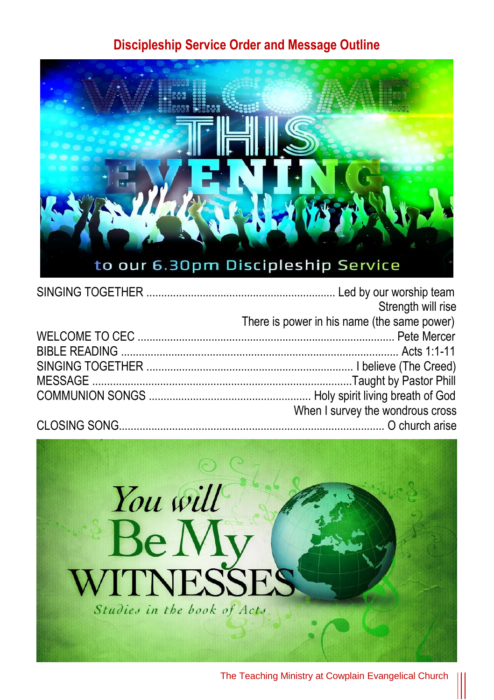#### **Discipleship Service Order and Message Outline**



| Strength will rise                          |
|---------------------------------------------|
| There is power in his name (the same power) |
|                                             |
|                                             |
|                                             |
|                                             |
|                                             |
| When I survey the wondrous cross            |
|                                             |
|                                             |

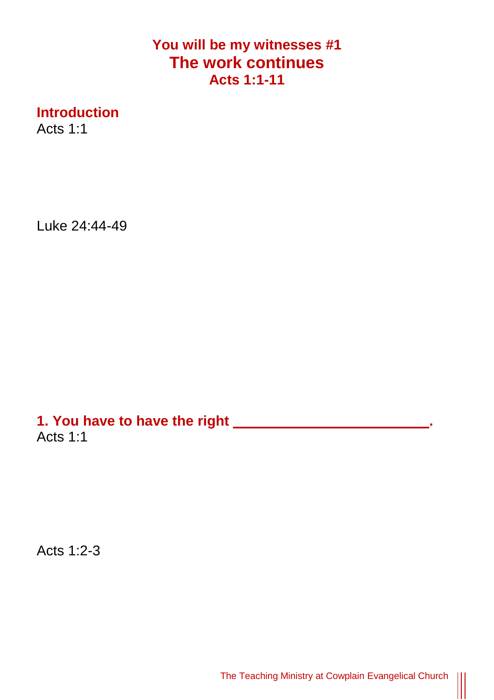## **You will be my witnesses #1 The work continues Acts 1:1-11**

**Introduction**

Acts 1:1

Luke 24:44-49

**1. You have to have the right \_\_\_\_\_\_\_\_\_\_\_\_\_\_\_\_\_\_\_\_\_\_\_\_\_.**  Acts 1:1

Acts 1:2-3

The Teaching Ministry at Cowplain Evangelical Church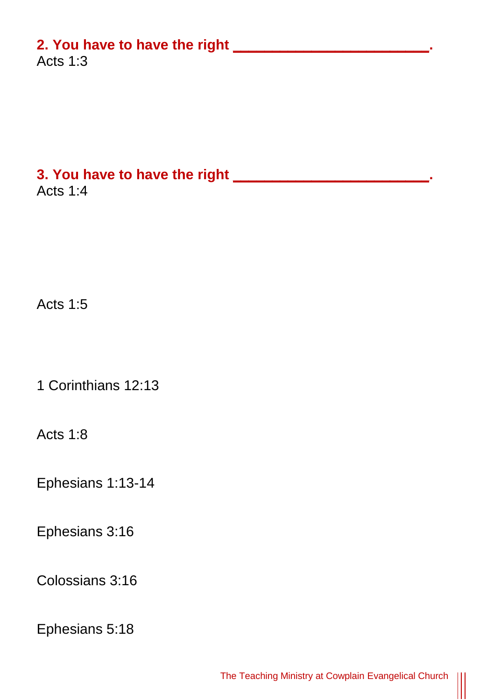## **2. You have to have the right \_\_\_\_\_\_\_\_\_\_\_\_\_\_\_\_\_\_\_\_\_\_\_\_\_.**

Acts 1:3

#### **3. You have to have the right \_\_\_\_\_\_\_\_\_\_\_\_\_\_\_\_\_\_\_\_\_\_\_\_\_.**  Acts 1:4

Acts 1:5

1 Corinthians 12:13

Acts 1:8

Ephesians 1:13-14

Ephesians 3:16

Colossians 3:16

Ephesians 5:18

 $\parallel$